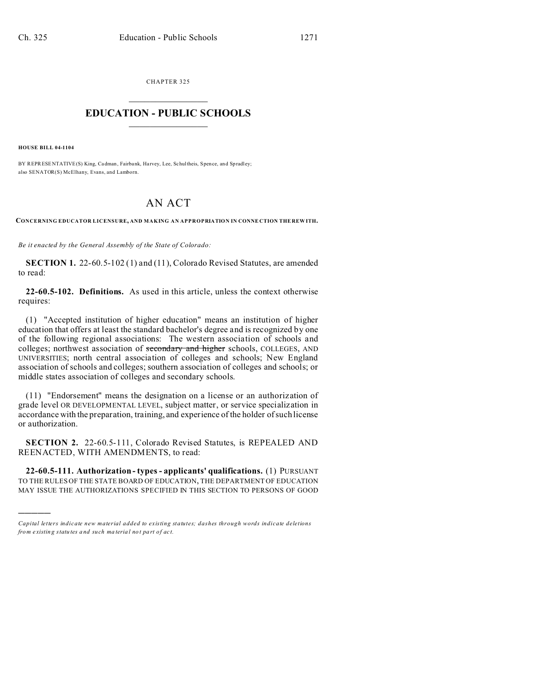CHAPTER 325  $\overline{\phantom{a}}$  , where  $\overline{\phantom{a}}$ 

## **EDUCATION - PUBLIC SCHOOLS**  $\_$   $\_$   $\_$   $\_$   $\_$   $\_$   $\_$   $\_$   $\_$

**HOUSE BILL 04-1104**

)))))

BY REPRESENTATIVE(S) King, Cadman, Fairbank, Harvey, Lee, Schultheis, Spence, and Spradley; also SENATOR(S) McElhany, Evans, and Lamborn.

## AN ACT

**CONCERNING EDUCATOR LICENSURE, AND MAKING AN APPROPRIATION IN CONNE CTION THE REW ITH.**

*Be it enacted by the General Assembly of the State of Colorado:*

**SECTION 1.** 22-60.5-102 (1) and (11), Colorado Revised Statutes, are amended to read:

**22-60.5-102. Definitions.** As used in this article, unless the context otherwise requires:

(1) "Accepted institution of higher education" means an institution of higher education that offers at least the standard bachelor's degree and is recognized by one of the following regional associations: The western association of schools and colleges; northwest association of secondary and higher schools, COLLEGES, AND UNIVERSITIES; north central association of colleges and schools; New England association of schools and colleges; southern association of colleges and schools; or middle states association of colleges and secondary schools.

(11) "Endorsement" means the designation on a license or an authorization of grade level OR DEVELOPMENTAL LEVEL, subject matter, or service specialization in accordance with the preparation, training, and experience of the holder of such license or authorization.

**SECTION 2.** 22-60.5-111, Colorado Revised Statutes, is REPEALED AND REENACTED, WITH AMENDMENTS, to read:

**22-60.5-111. Authorization - types - applicants' qualifications.** (1) PURSUANT TO THE RULES OF THE STATE BOARD OF EDUCATION, THE DEPARTMENT OF EDUCATION MAY ISSUE THE AUTHORIZATIONS SPECIFIED IN THIS SECTION TO PERSONS OF GOOD

*Capital letters indicate new material added to existing statutes; dashes through words indicate deletions from e xistin g statu tes a nd such ma teria l no t pa rt of ac t.*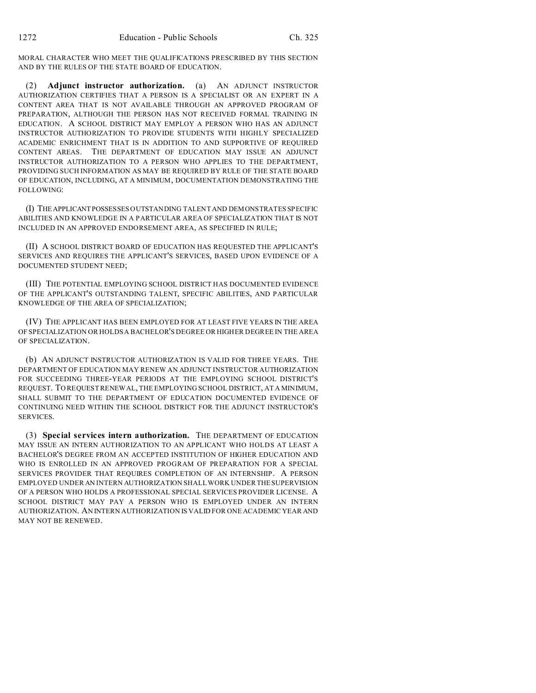MORAL CHARACTER WHO MEET THE QUALIFICATIONS PRESCRIBED BY THIS SECTION AND BY THE RULES OF THE STATE BOARD OF EDUCATION.

(2) **Adjunct instructor authorization.** (a) AN ADJUNCT INSTRUCTOR AUTHORIZATION CERTIFIES THAT A PERSON IS A SPECIALIST OR AN EXPERT IN A CONTENT AREA THAT IS NOT AVAILABLE THROUGH AN APPROVED PROGRAM OF PREPARATION, ALTHOUGH THE PERSON HAS NOT RECEIVED FORMAL TRAINING IN EDUCATION. A SCHOOL DISTRICT MAY EMPLOY A PERSON WHO HAS AN ADJUNCT INSTRUCTOR AUTHORIZATION TO PROVIDE STUDENTS WITH HIGHLY SPECIALIZED ACADEMIC ENRICHMENT THAT IS IN ADDITION TO AND SUPPORTIVE OF REQUIRED CONTENT AREAS. THE DEPARTMENT OF EDUCATION MAY ISSUE AN ADJUNCT INSTRUCTOR AUTHORIZATION TO A PERSON WHO APPLIES TO THE DEPARTMENT, PROVIDING SUCH INFORMATION AS MAY BE REQUIRED BY RULE OF THE STATE BOARD OF EDUCATION, INCLUDING, AT A MINIMUM, DOCUMENTATION DEMONSTRATING THE FOLLOWING:

(I) THEAPPLICANTPOSSESSES OUTSTANDING TALENT AND DEMONSTRATES SPECIFIC ABILITIES AND KNOWLEDGE IN A PARTICULAR AREA OF SPECIALIZATION THAT IS NOT INCLUDED IN AN APPROVED ENDORSEMENT AREA, AS SPECIFIED IN RULE;

(II) A SCHOOL DISTRICT BOARD OF EDUCATION HAS REQUESTED THE APPLICANT'S SERVICES AND REQUIRES THE APPLICANT'S SERVICES, BASED UPON EVIDENCE OF A DOCUMENTED STUDENT NEED;

(III) THE POTENTIAL EMPLOYING SCHOOL DISTRICT HAS DOCUMENTED EVIDENCE OF THE APPLICANT'S OUTSTANDING TALENT, SPECIFIC ABILITIES, AND PARTICULAR KNOWLEDGE OF THE AREA OF SPECIALIZATION;

(IV) THE APPLICANT HAS BEEN EMPLOYED FOR AT LEAST FIVE YEARS IN THE AREA OF SPECIALIZATION OR HOLDS A BACHELOR'S DEGREE OR HIGHER DEGREE IN THE AREA OF SPECIALIZATION.

(b) AN ADJUNCT INSTRUCTOR AUTHORIZATION IS VALID FOR THREE YEARS. THE DEPARTMENT OF EDUCATION MAY RENEW AN ADJUNCT INSTRUCTOR AUTHORIZATION FOR SUCCEEDING THREE-YEAR PERIODS AT THE EMPLOYING SCHOOL DISTRICT'S REQUEST. TO REQUEST RENEWAL, THE EMPLOYING SCHOOL DISTRICT, AT A MINIMUM, SHALL SUBMIT TO THE DEPARTMENT OF EDUCATION DOCUMENTED EVIDENCE OF CONTINUING NEED WITHIN THE SCHOOL DISTRICT FOR THE ADJUNCT INSTRUCTOR'S SERVICES.

(3) **Special services intern authorization.** THE DEPARTMENT OF EDUCATION MAY ISSUE AN INTERN AUTHORIZATION TO AN APPLICANT WHO HOLDS AT LEAST A BACHELOR'S DEGREE FROM AN ACCEPTED INSTITUTION OF HIGHER EDUCATION AND WHO IS ENROLLED IN AN APPROVED PROGRAM OF PREPARATION FOR A SPECIAL SERVICES PROVIDER THAT REQUIRES COMPLETION OF AN INTERNSHIP. A PERSON EMPLOYED UNDER AN INTERN AUTHORIZATION SHALL WORK UNDER THE SUPERVISION OF A PERSON WHO HOLDS A PROFESSIONAL SPECIAL SERVICES PROVIDER LICENSE. A SCHOOL DISTRICT MAY PAY A PERSON WHO IS EMPLOYED UNDER AN INTERN AUTHORIZATION. AN INTERN AUTHORIZATION IS VALID FOR ONE ACADEMIC YEAR AND MAY NOT BE RENEWED.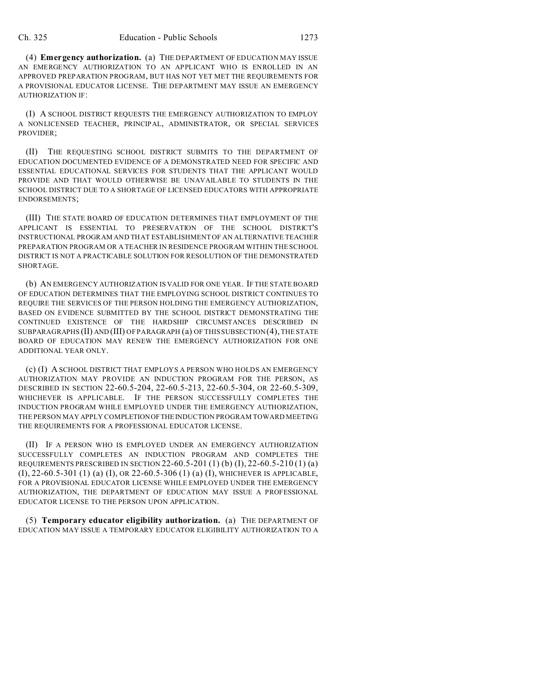(4) **Emergency authorization.** (a) THE DEPARTMENT OF EDUCATION MAY ISSUE AN EMERGENCY AUTHORIZATION TO AN APPLICANT WHO IS ENROLLED IN AN APPROVED PREPARATION PROGRAM, BUT HAS NOT YET MET THE REQUIREMENTS FOR A PROVISIONAL EDUCATOR LICENSE. THE DEPARTMENT MAY ISSUE AN EMERGENCY AUTHORIZATION IF:

(I) A SCHOOL DISTRICT REQUESTS THE EMERGENCY AUTHORIZATION TO EMPLOY A NONLICENSED TEACHER, PRINCIPAL, ADMINISTRATOR, OR SPECIAL SERVICES PROVIDER;

(II) THE REQUESTING SCHOOL DISTRICT SUBMITS TO THE DEPARTMENT OF EDUCATION DOCUMENTED EVIDENCE OF A DEMONSTRATED NEED FOR SPECIFIC AND ESSENTIAL EDUCATIONAL SERVICES FOR STUDENTS THAT THE APPLICANT WOULD PROVIDE AND THAT WOULD OTHERWISE BE UNAVAILABLE TO STUDENTS IN THE SCHOOL DISTRICT DUE TO A SHORTAGE OF LICENSED EDUCATORS WITH APPROPRIATE ENDORSEMENTS;

(III) THE STATE BOARD OF EDUCATION DETERMINES THAT EMPLOYMENT OF THE APPLICANT IS ESSENTIAL TO PRESERVATION OF THE SCHOOL DISTRICT'S INSTRUCTIONAL PROGRAM AND THAT ESTABLISHMENT OF AN ALTERNATIVE TEACHER PREPARATION PROGRAM OR A TEACHER IN RESIDENCE PROGRAM WITHIN THE SCHOOL DISTRICT IS NOT A PRACTICABLE SOLUTION FOR RESOLUTION OF THE DEMONSTRATED SHORTAGE.

(b) AN EMERGENCY AUTHORIZATION IS VALID FOR ONE YEAR. IF THE STATE BOARD OF EDUCATION DETERMINES THAT THE EMPLOYING SCHOOL DISTRICT CONTINUES TO REQUIRE THE SERVICES OF THE PERSON HOLDING THE EMERGENCY AUTHORIZATION, BASED ON EVIDENCE SUBMITTED BY THE SCHOOL DISTRICT DEMONSTRATING THE CONTINUED EXISTENCE OF THE HARDSHIP CIRCUMSTANCES DESCRIBED IN SUBPARAGRAPHS (II) AND (III) OF PARAGRAPH (a) OF THIS SUBSECTION (4), THE STATE BOARD OF EDUCATION MAY RENEW THE EMERGENCY AUTHORIZATION FOR ONE ADDITIONAL YEAR ONLY.

(c) (I) A SCHOOL DISTRICT THAT EMPLOYS A PERSON WHO HOLDS AN EMERGENCY AUTHORIZATION MAY PROVIDE AN INDUCTION PROGRAM FOR THE PERSON, AS DESCRIBED IN SECTION 22-60.5-204, 22-60.5-213, 22-60.5-304, OR 22-60.5-309, WHICHEVER IS APPLICABLE. IF THE PERSON SUCCESSFULLY COMPLETES THE INDUCTION PROGRAM WHILE EMPLOYED UNDER THE EMERGENCY AUTHORIZATION, THE PERSON MAY APPLY COMPLETIONOFTHEINDUCTION PROGRAM TOWARD MEETING THE REQUIREMENTS FOR A PROFESSIONAL EDUCATOR LICENSE.

(II) IF A PERSON WHO IS EMPLOYED UNDER AN EMERGENCY AUTHORIZATION SUCCESSFULLY COMPLETES AN INDUCTION PROGRAM AND COMPLETES THE REQUIREMENTS PRESCRIBED IN SECTION 22-60.5-201 (1) (b) (I), 22-60.5-210 (1) (a) (I), 22-60.5-301 (1) (a) (I), OR 22-60.5-306 (1) (a) (I), WHICHEVER IS APPLICABLE, FOR A PROVISIONAL EDUCATOR LICENSE WHILE EMPLOYED UNDER THE EMERGENCY AUTHORIZATION, THE DEPARTMENT OF EDUCATION MAY ISSUE A PROFESSIONAL EDUCATOR LICENSE TO THE PERSON UPON APPLICATION.

(5) **Temporary educator eligibility authorization.** (a) THE DEPARTMENT OF EDUCATION MAY ISSUE A TEMPORARY EDUCATOR ELIGIBILITY AUTHORIZATION TO A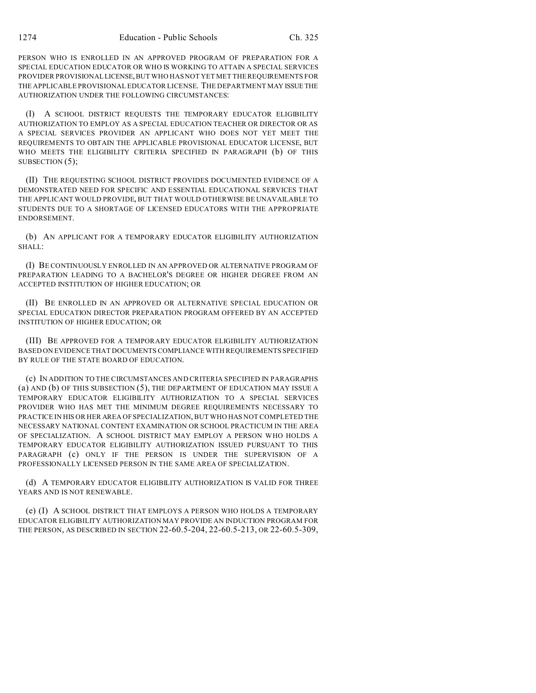PERSON WHO IS ENROLLED IN AN APPROVED PROGRAM OF PREPARATION FOR A SPECIAL EDUCATION EDUCATOR OR WHO IS WORKING TO ATTAIN A SPECIAL SERVICES PROVIDER PROVISIONALLICENSE,BUT WHO HAS NOT YET MET THE REQUIREMENTS FOR THE APPLICABLE PROVISIONAL EDUCATOR LICENSE. THE DEPARTMENT MAY ISSUE THE AUTHORIZATION UNDER THE FOLLOWING CIRCUMSTANCES:

(I) A SCHOOL DISTRICT REQUESTS THE TEMPORARY EDUCATOR ELIGIBILITY AUTHORIZATION TO EMPLOY AS A SPECIAL EDUCATION TEACHER OR DIRECTOR OR AS A SPECIAL SERVICES PROVIDER AN APPLICANT WHO DOES NOT YET MEET THE REQUIREMENTS TO OBTAIN THE APPLICABLE PROVISIONAL EDUCATOR LICENSE, BUT WHO MEETS THE ELIGIBILITY CRITERIA SPECIFIED IN PARAGRAPH (b) OF THIS SUBSECTION  $(5)$ ;

(II) THE REQUESTING SCHOOL DISTRICT PROVIDES DOCUMENTED EVIDENCE OF A DEMONSTRATED NEED FOR SPECIFIC AND ESSENTIAL EDUCATIONAL SERVICES THAT THE APPLICANT WOULD PROVIDE, BUT THAT WOULD OTHERWISE BE UNAVAILABLE TO STUDENTS DUE TO A SHORTAGE OF LICENSED EDUCATORS WITH THE APPROPRIATE ENDORSEMENT.

(b) AN APPLICANT FOR A TEMPORARY EDUCATOR ELIGIBILITY AUTHORIZATION SHALL:

(I) BE CONTINUOUSLY ENROLLED IN AN APPROVED OR ALTERNATIVE PROGRAM OF PREPARATION LEADING TO A BACHELOR'S DEGREE OR HIGHER DEGREE FROM AN ACCEPTED INSTITUTION OF HIGHER EDUCATION; OR

(II) BE ENROLLED IN AN APPROVED OR ALTERNATIVE SPECIAL EDUCATION OR SPECIAL EDUCATION DIRECTOR PREPARATION PROGRAM OFFERED BY AN ACCEPTED INSTITUTION OF HIGHER EDUCATION; OR

(III) BE APPROVED FOR A TEMPORARY EDUCATOR ELIGIBILITY AUTHORIZATION BASED ON EVIDENCE THAT DOCUMENTS COMPLIANCE WITH REQUIREMENTS SPECIFIED BY RULE OF THE STATE BOARD OF EDUCATION.

(c) IN ADDITION TO THE CIRCUMSTANCES AND CRITERIA SPECIFIED IN PARAGRAPHS (a) AND (b) OF THIS SUBSECTION (5), THE DEPARTMENT OF EDUCATION MAY ISSUE A TEMPORARY EDUCATOR ELIGIBILITY AUTHORIZATION TO A SPECIAL SERVICES PROVIDER WHO HAS MET THE MINIMUM DEGREE REQUIREMENTS NECESSARY TO PRACTICE IN HIS OR HER AREA OF SPECIALIZATION, BUT WHO HAS NOT COMPLETED THE NECESSARY NATIONAL CONTENT EXAMINATION OR SCHOOL PRACTICUM IN THE AREA OF SPECIALIZATION. A SCHOOL DISTRICT MAY EMPLOY A PERSON WHO HOLDS A TEMPORARY EDUCATOR ELIGIBILITY AUTHORIZATION ISSUED PURSUANT TO THIS PARAGRAPH (c) ONLY IF THE PERSON IS UNDER THE SUPERVISION OF A PROFESSIONALLY LICENSED PERSON IN THE SAME AREA OF SPECIALIZATION.

(d) A TEMPORARY EDUCATOR ELIGIBILITY AUTHORIZATION IS VALID FOR THREE YEARS AND IS NOT RENEWABLE.

(e) (I) A SCHOOL DISTRICT THAT EMPLOYS A PERSON WHO HOLDS A TEMPORARY EDUCATOR ELIGIBILITY AUTHORIZATION MAY PROVIDE AN INDUCTION PROGRAM FOR THE PERSON, AS DESCRIBED IN SECTION 22-60.5-204, 22-60.5-213, OR 22-60.5-309,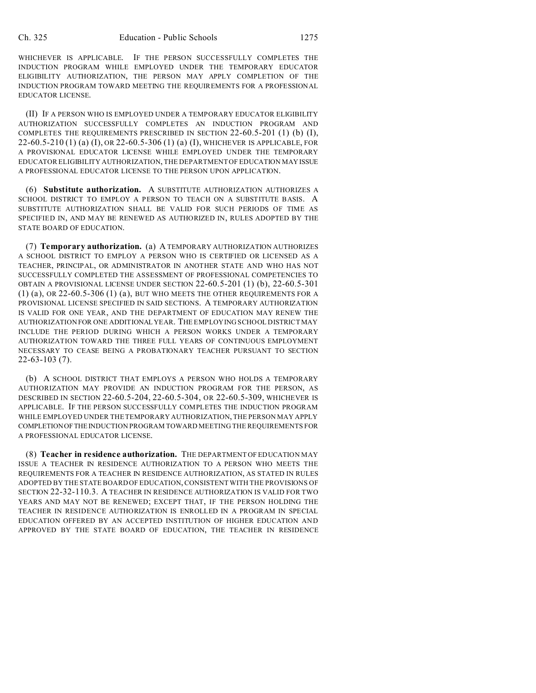WHICHEVER IS APPLICABLE. IF THE PERSON SUCCESSFULLY COMPLETES THE INDUCTION PROGRAM WHILE EMPLOYED UNDER THE TEMPORARY EDUCATOR ELIGIBILITY AUTHORIZATION, THE PERSON MAY APPLY COMPLETION OF THE INDUCTION PROGRAM TOWARD MEETING THE REQUIREMENTS FOR A PROFESSIONAL EDUCATOR LICENSE.

(II) IF A PERSON WHO IS EMPLOYED UNDER A TEMPORARY EDUCATOR ELIGIBILITY AUTHORIZATION SUCCESSFULLY COMPLETES AN INDUCTION PROGRAM AND COMPLETES THE REQUIREMENTS PRESCRIBED IN SECTION  $22-60.5-201$  (1) (b) (I), 22-60.5-210 (1) (a) (I), OR 22-60.5-306 (1) (a) (I), WHICHEVER IS APPLICABLE, FOR A PROVISIONAL EDUCATOR LICENSE WHILE EMPLOYED UNDER THE TEMPORARY EDUCATOR ELIGIBILITY AUTHORIZATION, THE DEPARTMENT OF EDUCATION MAY ISSUE A PROFESSIONAL EDUCATOR LICENSE TO THE PERSON UPON APPLICATION.

(6) **Substitute authorization.** A SUBSTITUTE AUTHORIZATION AUTHORIZES A SCHOOL DISTRICT TO EMPLOY A PERSON TO TEACH ON A SUBSTITUTE BASIS. A SUBSTITUTE AUTHORIZATION SHALL BE VALID FOR SUCH PERIODS OF TIME AS SPECIFIED IN, AND MAY BE RENEWED AS AUTHORIZED IN, RULES ADOPTED BY THE STATE BOARD OF EDUCATION.

(7) **Temporary authorization.** (a) A TEMPORARY AUTHORIZATION AUTHORIZES A SCHOOL DISTRICT TO EMPLOY A PERSON WHO IS CERTIFIED OR LICENSED AS A TEACHER, PRINCIPAL, OR ADMINISTRATOR IN ANOTHER STATE AND WHO HAS NOT SUCCESSFULLY COMPLETED THE ASSESSMENT OF PROFESSIONAL COMPETENCIES TO OBTAIN A PROVISIONAL LICENSE UNDER SECTION 22-60.5-201 (1) (b), 22-60.5-301 (1) (a), OR 22-60.5-306 (1) (a), BUT WHO MEETS THE OTHER REQUIREMENTS FOR A PROVISIONAL LICENSE SPECIFIED IN SAID SECTIONS. A TEMPORARY AUTHORIZATION IS VALID FOR ONE YEAR, AND THE DEPARTMENT OF EDUCATION MAY RENEW THE AUTHORIZATION FOR ONE ADDITIONAL YEAR. THE EMPLOYING SCHOOL DISTRICT MAY INCLUDE THE PERIOD DURING WHICH A PERSON WORKS UNDER A TEMPORARY AUTHORIZATION TOWARD THE THREE FULL YEARS OF CONTINUOUS EMPLOYMENT NECESSARY TO CEASE BEING A PROBATIONARY TEACHER PURSUANT TO SECTION 22-63-103 (7).

(b) A SCHOOL DISTRICT THAT EMPLOYS A PERSON WHO HOLDS A TEMPORARY AUTHORIZATION MAY PROVIDE AN INDUCTION PROGRAM FOR THE PERSON, AS DESCRIBED IN SECTION 22-60.5-204, 22-60.5-304, OR 22-60.5-309, WHICHEVER IS APPLICABLE. IF THE PERSON SUCCESSFULLY COMPLETES THE INDUCTION PROGRAM WHILE EMPLOYED UNDER THE TEMPORARY AUTHORIZATION, THE PERSON MAY APPLY COMPLETIONOFTHEINDUCTION PROGRAM TOWARD MEETING THE REQUIREMENTS FOR A PROFESSIONAL EDUCATOR LICENSE.

(8) **Teacher in residence authorization.** THE DEPARTMENT OF EDUCATION MAY ISSUE A TEACHER IN RESIDENCE AUTHORIZATION TO A PERSON WHO MEETS THE REQUIREMENTS FOR A TEACHER IN RESIDENCE AUTHORIZATION, AS STATED IN RULES ADOPTED BY THE STATE BOARD OF EDUCATION, CONSISTENT WITH THE PROVISIONS OF SECTION 22-32-110.3. A TEACHER IN RESIDENCE AUTHORIZATION IS VALID FOR TWO YEARS AND MAY NOT BE RENEWED; EXCEPT THAT, IF THE PERSON HOLDING THE TEACHER IN RESIDENCE AUTHORIZATION IS ENROLLED IN A PROGRAM IN SPECIAL EDUCATION OFFERED BY AN ACCEPTED INSTITUTION OF HIGHER EDUCATION AND APPROVED BY THE STATE BOARD OF EDUCATION, THE TEACHER IN RESIDENCE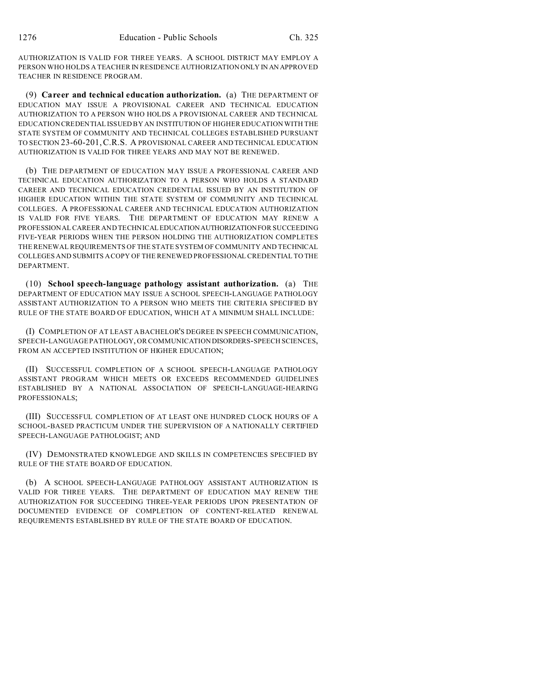AUTHORIZATION IS VALID FOR THREE YEARS. A SCHOOL DISTRICT MAY EMPLOY A PERSON WHO HOLDS A TEACHER IN RESIDENCE AUTHORIZATION ONLY IN AN APPROVED TEACHER IN RESIDENCE PROGRAM.

(9) **Career and technical education authorization.** (a) THE DEPARTMENT OF EDUCATION MAY ISSUE A PROVISIONAL CAREER AND TECHNICAL EDUCATION AUTHORIZATION TO A PERSON WHO HOLDS A PROVISIONAL CAREER AND TECHNICAL EDUCATION CREDENTIAL ISSUED BY AN INSTITUTION OF HIGHER EDUCATION WITH THE STATE SYSTEM OF COMMUNITY AND TECHNICAL COLLEGES ESTABLISHED PURSUANT TO SECTION 23-60-201,C.R.S. A PROVISIONAL CAREER AND TECHNICAL EDUCATION AUTHORIZATION IS VALID FOR THREE YEARS AND MAY NOT BE RENEWED.

(b) THE DEPARTMENT OF EDUCATION MAY ISSUE A PROFESSIONAL CAREER AND TECHNICAL EDUCATION AUTHORIZATION TO A PERSON WHO HOLDS A STANDARD CAREER AND TECHNICAL EDUCATION CREDENTIAL ISSUED BY AN INSTITUTION OF HIGHER EDUCATION WITHIN THE STATE SYSTEM OF COMMUNITY AND TECHNICAL COLLEGES. A PROFESSIONAL CAREER AND TECHNICAL EDUCATION AUTHORIZATION IS VALID FOR FIVE YEARS. THE DEPARTMENT OF EDUCATION MAY RENEW A PROFESSIONAL CAREER AND TECHNICALEDUCATIONAUTHORIZATIONFOR SUCCEEDING FIVE-YEAR PERIODS WHEN THE PERSON HOLDING THE AUTHORIZATION COMPLETES THE RENEWAL REQUIREMENTS OF THE STATE SYSTEM OF COMMUNITY AND TECHNICAL COLLEGES AND SUBMITS A COPY OF THE RENEWED PROFESSIONAL CREDENTIAL TO THE DEPARTMENT.

(10) **School speech-language pathology assistant authorization.** (a) THE DEPARTMENT OF EDUCATION MAY ISSUE A SCHOOL SPEECH-LANGUAGE PATHOLOGY ASSISTANT AUTHORIZATION TO A PERSON WHO MEETS THE CRITERIA SPECIFIED BY RULE OF THE STATE BOARD OF EDUCATION, WHICH AT A MINIMUM SHALL INCLUDE:

(I) COMPLETION OF AT LEAST A BACHELOR'S DEGREE IN SPEECH COMMUNICATION, SPEECH-LANGUAGE PATHOLOGY, OR COMMUNICATION DISORDERS-SPEECH SCIENCES, FROM AN ACCEPTED INSTITUTION OF HIGHER EDUCATION;

(II) SUCCESSFUL COMPLETION OF A SCHOOL SPEECH-LANGUAGE PATHOLOGY ASSISTANT PROGRAM WHICH MEETS OR EXCEEDS RECOMMENDED GUIDELINES ESTABLISHED BY A NATIONAL ASSOCIATION OF SPEECH-LANGUAGE-HEARING PROFESSIONALS;

(III) SUCCESSFUL COMPLETION OF AT LEAST ONE HUNDRED CLOCK HOURS OF A SCHOOL-BASED PRACTICUM UNDER THE SUPERVISION OF A NATIONALLY CERTIFIED SPEECH-LANGUAGE PATHOLOGIST; AND

(IV) DEMONSTRATED KNOWLEDGE AND SKILLS IN COMPETENCIES SPECIFIED BY RULE OF THE STATE BOARD OF EDUCATION.

(b) A SCHOOL SPEECH-LANGUAGE PATHOLOGY ASSISTANT AUTHORIZATION IS VALID FOR THREE YEARS. THE DEPARTMENT OF EDUCATION MAY RENEW THE AUTHORIZATION FOR SUCCEEDING THREE-YEAR PERIODS UPON PRESENTATION OF DOCUMENTED EVIDENCE OF COMPLETION OF CONTENT-RELATED RENEWAL REQUIREMENTS ESTABLISHED BY RULE OF THE STATE BOARD OF EDUCATION.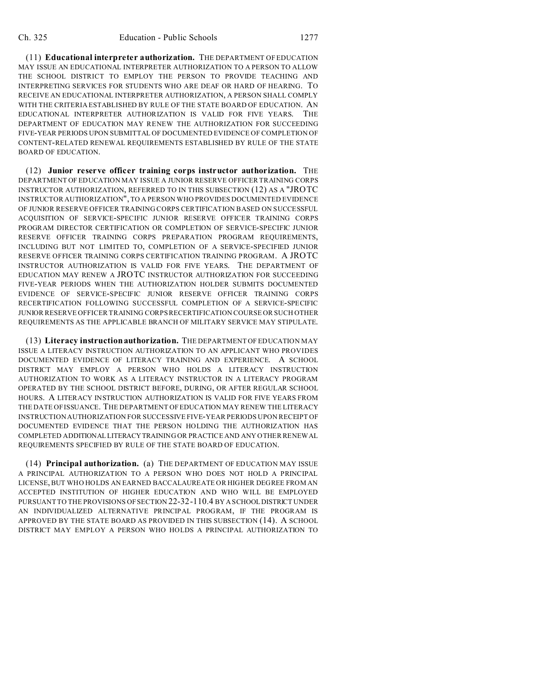(11) **Educational interpreter authorization.** THE DEPARTMENT OF EDUCATION MAY ISSUE AN EDUCATIONAL INTERPRETER AUTHORIZATION TO A PERSON TO ALLOW THE SCHOOL DISTRICT TO EMPLOY THE PERSON TO PROVIDE TEACHING AND INTERPRETING SERVICES FOR STUDENTS WHO ARE DEAF OR HARD OF HEARING. TO RECEIVE AN EDUCATIONAL INTERPRETER AUTHORIZATION, A PERSON SHALL COMPLY WITH THE CRITERIA ESTABLISHED BY RULE OF THE STATE BOARD OF EDUCATION. AN EDUCATIONAL INTERPRETER AUTHORIZATION IS VALID FOR FIVE YEARS. THE DEPARTMENT OF EDUCATION MAY RENEW THE AUTHORIZATION FOR SUCCEEDING FIVE-YEAR PERIODS UPON SUBMITTAL OF DOCUMENTED EVIDENCE OF COMPLETION OF CONTENT-RELATED RENEWAL REQUIREMENTS ESTABLISHED BY RULE OF THE STATE BOARD OF EDUCATION.

(12) **Junior reserve officer training corps instructor authorization.** THE DEPARTMENT OF EDUCATION MAY ISSUE A JUNIOR RESERVE OFFICER TRAINING CORPS INSTRUCTOR AUTHORIZATION, REFERRED TO IN THIS SUBSECTION (12) AS A "JROTC INSTRUCTOR AUTHORIZATION", TO A PERSON WHO PROVIDES DOCUMENTED EVIDENCE OF JUNIOR RESERVE OFFICER TRAINING CORPS CERTIFICATION BASED ON SUCCESSFUL ACQUISITION OF SERVICE-SPECIFIC JUNIOR RESERVE OFFICER TRAINING CORPS PROGRAM DIRECTOR CERTIFICATION OR COMPLETION OF SERVICE-SPECIFIC JUNIOR RESERVE OFFICER TRAINING CORPS PREPARATION PROGRAM REQUIREMENTS, INCLUDING BUT NOT LIMITED TO, COMPLETION OF A SERVICE-SPECIFIED JUNIOR RESERVE OFFICER TRAINING CORPS CERTIFICATION TRAINING PROGRAM. A JROTC INSTRUCTOR AUTHORIZATION IS VALID FOR FIVE YEARS. THE DEPARTMENT OF EDUCATION MAY RENEW A JROTC INSTRUCTOR AUTHORIZATION FOR SUCCEEDING FIVE-YEAR PERIODS WHEN THE AUTHORIZATION HOLDER SUBMITS DOCUMENTED EVIDENCE OF SERVICE-SPECIFIC JUNIOR RESERVE OFFICER TRAINING CORPS RECERTIFICATION FOLLOWING SUCCESSFUL COMPLETION OF A SERVICE-SPECIFIC JUNIOR RESERVE OFFICER TRAINING CORPS RECERTIFICATION COURSE OR SUCH OTHER REQUIREMENTS AS THE APPLICABLE BRANCH OF MILITARY SERVICE MAY STIPULATE.

(13) **Literacy instruction authorization.** THE DEPARTMENT OF EDUCATION MAY ISSUE A LITERACY INSTRUCTION AUTHORIZATION TO AN APPLICANT WHO PROVIDES DOCUMENTED EVIDENCE OF LITERACY TRAINING AND EXPERIENCE. A SCHOOL DISTRICT MAY EMPLOY A PERSON WHO HOLDS A LITERACY INSTRUCTION AUTHORIZATION TO WORK AS A LITERACY INSTRUCTOR IN A LITERACY PROGRAM OPERATED BY THE SCHOOL DISTRICT BEFORE, DURING, OR AFTER REGULAR SCHOOL HOURS. A LITERACY INSTRUCTION AUTHORIZATION IS VALID FOR FIVE YEARS FROM THE DATE OF ISSUANCE. THE DEPARTMENT OF EDUCATION MAY RENEW THE LITERACY INSTRUCTION AUTHORIZATION FOR SUCCESSIVE FIVE-YEAR PERIODS UPON RECEIPT OF DOCUMENTED EVIDENCE THAT THE PERSON HOLDING THE AUTHORIZATION HAS COMPLETED ADDITIONALLITERACYTRAINING OR PRACTICE AND ANY OTHER RENEWAL REQUIREMENTS SPECIFIED BY RULE OF THE STATE BOARD OF EDUCATION.

(14) **Principal authorization.** (a) THE DEPARTMENT OF EDUCATION MAY ISSUE A PRINCIPAL AUTHORIZATION TO A PERSON WHO DOES NOT HOLD A PRINCIPAL LICENSE, BUT WHO HOLDS AN EARNED BACCALAUREATE OR HIGHER DEGREE FROM AN ACCEPTED INSTITUTION OF HIGHER EDUCATION AND WHO WILL BE EMPLOYED PURSUANT TO THE PROVISIONS OF SECTION 22-32-110.4 BY A SCHOOLDISTRICT UNDER AN INDIVIDUALIZED ALTERNATIVE PRINCIPAL PROGRAM, IF THE PROGRAM IS APPROVED BY THE STATE BOARD AS PROVIDED IN THIS SUBSECTION (14). A SCHOOL DISTRICT MAY EMPLOY A PERSON WHO HOLDS A PRINCIPAL AUTHORIZATION TO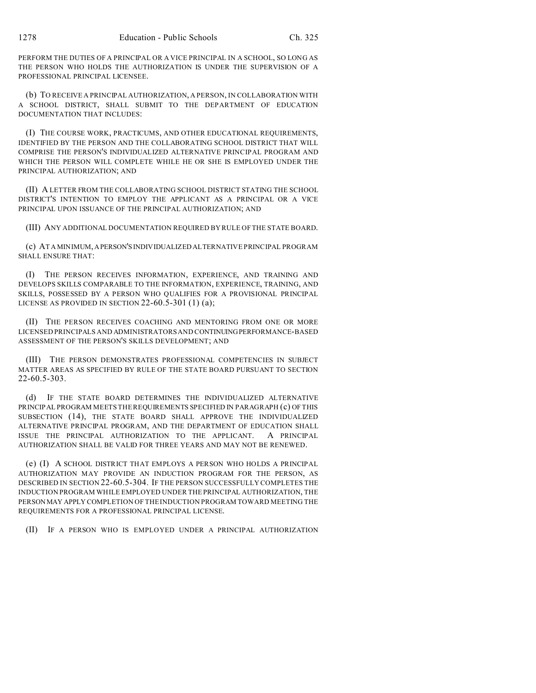PERFORM THE DUTIES OF A PRINCIPAL OR A VICE PRINCIPAL IN A SCHOOL, SO LONG AS THE PERSON WHO HOLDS THE AUTHORIZATION IS UNDER THE SUPERVISION OF A PROFESSIONAL PRINCIPAL LICENSEE.

(b) TO RECEIVE A PRINCIPAL AUTHORIZATION, A PERSON, IN COLLABORATION WITH A SCHOOL DISTRICT, SHALL SUBMIT TO THE DEPARTMENT OF EDUCATION DOCUMENTATION THAT INCLUDES:

(I) THE COURSE WORK, PRACTICUMS, AND OTHER EDUCATIONAL REQUIREMENTS, IDENTIFIED BY THE PERSON AND THE COLLABORATING SCHOOL DISTRICT THAT WILL COMPRISE THE PERSON'S INDIVIDUALIZED ALTERNATIVE PRINCIPAL PROGRAM AND WHICH THE PERSON WILL COMPLETE WHILE HE OR SHE IS EMPLOYED UNDER THE PRINCIPAL AUTHORIZATION; AND

(II) A LETTER FROM THE COLLABORATING SCHOOL DISTRICT STATING THE SCHOOL DISTRICT'S INTENTION TO EMPLOY THE APPLICANT AS A PRINCIPAL OR A VICE PRINCIPAL UPON ISSUANCE OF THE PRINCIPAL AUTHORIZATION; AND

(III) ANY ADDITIONAL DOCUMENTATION REQUIRED BY RULE OF THE STATE BOARD.

(c) AT A MINIMUM,APERSON'S INDIVIDUALIZED ALTERNATIVE PRINCIPAL PROGRAM SHALL ENSURE THAT:

(I) THE PERSON RECEIVES INFORMATION, EXPERIENCE, AND TRAINING AND DEVELOPS SKILLS COMPARABLE TO THE INFORMATION, EXPERIENCE, TRAINING, AND SKILLS, POSSESSED BY A PERSON WHO QUALIFIES FOR A PROVISIONAL PRINCIPAL LICENSE AS PROVIDED IN SECTION  $22-60.5-301(1)(a)$ ;

(II) THE PERSON RECEIVES COACHING AND MENTORING FROM ONE OR MORE LICENSED PRINCIPALS AND ADMINISTRATORS AND CONTINUINGPERFORMANCE-BASED ASSESSMENT OF THE PERSON'S SKILLS DEVELOPMENT; AND

(III) THE PERSON DEMONSTRATES PROFESSIONAL COMPETENCIES IN SUBJECT MATTER AREAS AS SPECIFIED BY RULE OF THE STATE BOARD PURSUANT TO SECTION 22-60.5-303.

(d) IF THE STATE BOARD DETERMINES THE INDIVIDUALIZED ALTERNATIVE PRINCIPAL PROGRAM MEETS THE REQUIREMENTS SPECIFIED IN PARAGRAPH (c) OF THIS SUBSECTION (14), THE STATE BOARD SHALL APPROVE THE INDIVIDUALIZED ALTERNATIVE PRINCIPAL PROGRAM, AND THE DEPARTMENT OF EDUCATION SHALL ISSUE THE PRINCIPAL AUTHORIZATION TO THE APPLICANT. A PRINCIPAL AUTHORIZATION SHALL BE VALID FOR THREE YEARS AND MAY NOT BE RENEWED.

(e) (I) A SCHOOL DISTRICT THAT EMPLOYS A PERSON WHO HOLDS A PRINCIPAL AUTHORIZATION MAY PROVIDE AN INDUCTION PROGRAM FOR THE PERSON, AS DESCRIBED IN SECTION 22-60.5-304. IF THE PERSON SUCCESSFULLY COMPLETES THE INDUCTION PROGRAM WHILE EMPLOYED UNDER THE PRINCIPAL AUTHORIZATION, THE PERSONMAY APPLY COMPLETION OF THE INDUCTION PROGRAM TOWARD MEETING THE REQUIREMENTS FOR A PROFESSIONAL PRINCIPAL LICENSE.

(II) IF A PERSON WHO IS EMPLOYED UNDER A PRINCIPAL AUTHORIZATION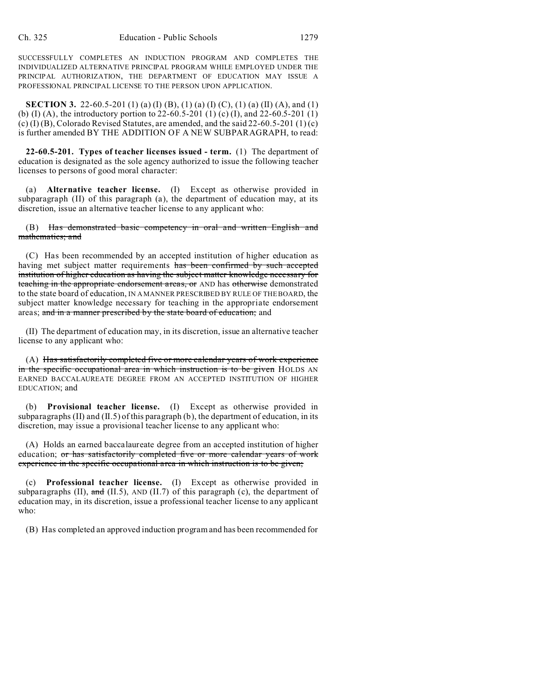SUCCESSFULLY COMPLETES AN INDUCTION PROGRAM AND COMPLETES THE INDIVIDUALIZED ALTERNATIVE PRINCIPAL PROGRAM WHILE EMPLOYED UNDER THE PRINCIPAL AUTHORIZATION, THE DEPARTMENT OF EDUCATION MAY ISSUE A PROFESSIONAL PRINCIPAL LICENSE TO THE PERSON UPON APPLICATION.

**SECTION 3.** 22-60.5-201 (1) (a) (I) (B), (1) (a) (I) (C), (1) (a) (II) (A), and (1) (b) (I) (A), the introductory portion to 22-60.5-201 (1) (c) (I), and 22-60.5-201 (1) (c) (I) (B), Colorado Revised Statutes, are amended, and the said  $22-60.5-201(1)(c)$ is further amended BY THE ADDITION OF A NEW SUBPARAGRAPH, to read:

**22-60.5-201. Types of teacher licenses issued - term.** (1) The department of education is designated as the sole agency authorized to issue the following teacher licenses to persons of good moral character:

(a) **Alternative teacher license.** (I) Except as otherwise provided in subparagraph (II) of this paragraph (a), the department of education may, at its discretion, issue an alternative teacher license to any applicant who:

(B) Has demonstrated basic competency in oral and written English and mathematics; and

(C) Has been recommended by an accepted institution of higher education as having met subject matter requirements has been confirmed by such accepted institution of higher education as having the subject matter knowledge necessary for teaching in the appropriate endorsement areas, or AND has otherwise demonstrated to the state board of education, IN A MANNER PRESCRIBED BY RULE OF THE BOARD, the subject matter knowledge necessary for teaching in the appropriate endorsement areas; and in a manner prescribed by the state board of education; and

(II) The department of education may, in its discretion, issue an alternative teacher license to any applicant who:

(A) Has satisfactorily completed five or more calendar years of work experience in the specific occupational area in which instruction is to be given HOLDS AN EARNED BACCALAUREATE DEGREE FROM AN ACCEPTED INSTITUTION OF HIGHER EDUCATION; and

(b) **Provisional teacher license.** (I) Except as otherwise provided in subparagraphs (II) and  $(II.5)$  of this paragraph  $(b)$ , the department of education, in its discretion, may issue a provisional teacher license to any applicant who:

(A) Holds an earned baccalaureate degree from an accepted institution of higher education; or has satisfactorily completed five or more calendar years of work experience in the specific occupational area in which instruction is to be given;

(c) **Professional teacher license.** (I) Except as otherwise provided in subparagraphs (II), and (II.5), AND (II.7) of this paragraph (c), the department of education may, in its discretion, issue a professional teacher license to any applicant who:

(B) Has completed an approved induction program and has been recommended for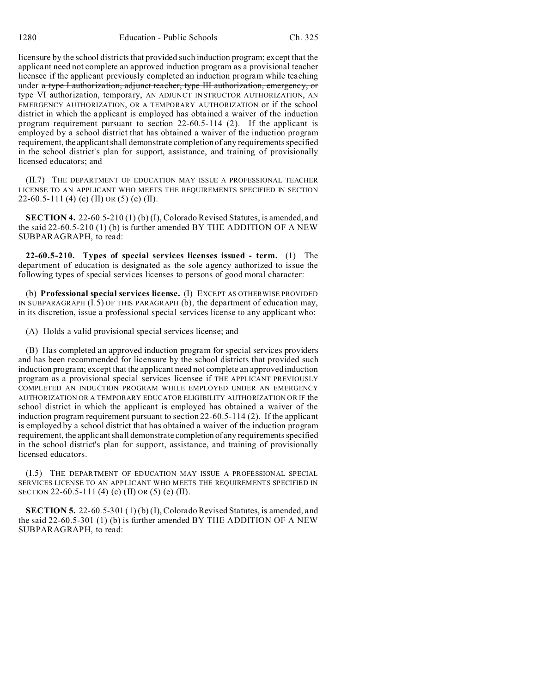licensure by the school districts that provided such induction program; except that the applicant need not complete an approved induction program as a provisional teacher licensee if the applicant previously completed an induction program while teaching under a type I authorization, adjunct teacher, type III authorization, emergency, or type VI authorization, temporary, AN ADJUNCT INSTRUCTOR AUTHORIZATION, AN EMERGENCY AUTHORIZATION, OR A TEMPORARY AUTHORIZATION or if the school district in which the applicant is employed has obtained a waiver of the induction program requirement pursuant to section 22-60.5-114 (2). If the applicant is employed by a school district that has obtained a waiver of the induction program requirement, the applicant shall demonstrate completion of any requirements specified in the school district's plan for support, assistance, and training of provisionally licensed educators; and

(II.7) THE DEPARTMENT OF EDUCATION MAY ISSUE A PROFESSIONAL TEACHER LICENSE TO AN APPLICANT WHO MEETS THE REQUIREMENTS SPECIFIED IN SECTION 22-60.5-111 (4) (c) (II) OR (5) (e) (II).

**SECTION 4.** 22-60.5-210 (1) (b) (I), Colorado Revised Statutes, is amended, and the said 22-60.5-210 (1) (b) is further amended BY THE ADDITION OF A NEW SUBPARAGRAPH, to read:

**22-60.5-210. Types of special services licenses issued - term.** (1) The department of education is designated as the sole agency authorized to issue the following types of special services licenses to persons of good moral character:

(b) **Professional special services license.** (I) EXCEPT AS OTHERWISE PROVIDED IN SUBPARAGRAPH (I.5) OF THIS PARAGRAPH (b), the department of education may, in its discretion, issue a professional special services license to any applicant who:

(A) Holds a valid provisional special services license; and

(B) Has completed an approved induction program for special services providers and has been recommended for licensure by the school districts that provided such induction program; except that the applicant need not complete an approved induction program as a provisional special services licensee if THE APPLICANT PREVIOUSLY COMPLETED AN INDUCTION PROGRAM WHILE EMPLOYED UNDER AN EMERGENCY AUTHORIZATION OR A TEMPORARY EDUCATOR ELIGIBILITY AUTHORIZATION OR IF the school district in which the applicant is employed has obtained a waiver of the induction program requirement pursuant to section 22-60.5-114 (2). If the applicant is employed by a school district that has obtained a waiver of the induction program requirement, the applicant shall demonstrate completion of any requirements specified in the school district's plan for support, assistance, and training of provisionally licensed educators.

(I.5) THE DEPARTMENT OF EDUCATION MAY ISSUE A PROFESSIONAL SPECIAL SERVICES LICENSE TO AN APPLICANT WHO MEETS THE REQUIREMENTS SPECIFIED IN SECTION 22-60.5-111 (4) (c) (II) OR (5) (e) (II).

**SECTION 5.** 22-60.5-301 (1)(b)(I), Colorado Revised Statutes, is amended, and the said 22-60.5-301 (1) (b) is further amended BY THE ADDITION OF A NEW SUBPARAGRAPH, to read: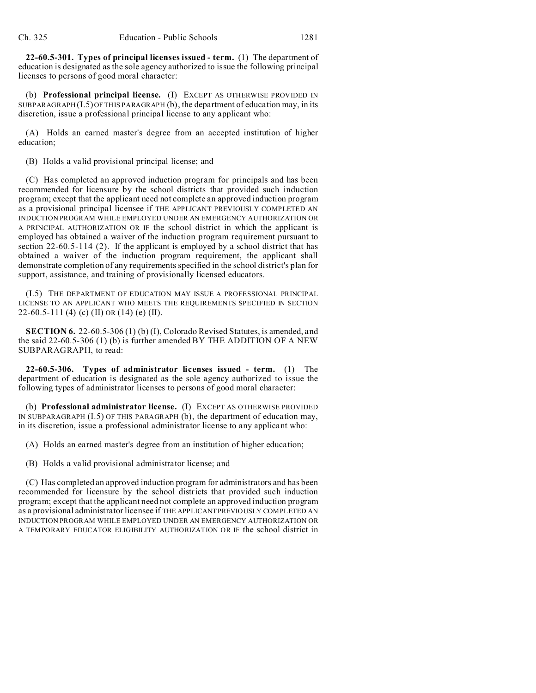**22-60.5-301. Types of principal licenses issued - term.** (1) The department of education is designated as the sole agency authorized to issue the following principal licenses to persons of good moral character:

(b) **Professional principal license.** (I) EXCEPT AS OTHERWISE PROVIDED IN SUBPARAGRAPH (I.5) OF THIS PARAGRAPH (b), the department of education may, in its discretion, issue a professional principal license to any applicant who:

(A) Holds an earned master's degree from an accepted institution of higher education;

(B) Holds a valid provisional principal license; and

(C) Has completed an approved induction program for principals and has been recommended for licensure by the school districts that provided such induction program; except that the applicant need not complete an approved induction program as a provisional principal licensee if THE APPLICANT PREVIOUSLY COMPLETED AN INDUCTION PROGRAM WHILE EMPLOYED UNDER AN EMERGENCY AUTHORIZATION OR A PRINCIPAL AUTHORIZATION OR IF the school district in which the applicant is employed has obtained a waiver of the induction program requirement pursuant to section 22-60.5-114 (2). If the applicant is employed by a school district that has obtained a waiver of the induction program requirement, the applicant shall demonstrate completion of any requirements specified in the school district's plan for support, assistance, and training of provisionally licensed educators.

(I.5) THE DEPARTMENT OF EDUCATION MAY ISSUE A PROFESSIONAL PRINCIPAL LICENSE TO AN APPLICANT WHO MEETS THE REQUIREMENTS SPECIFIED IN SECTION 22-60.5-111 (4) (c) (II) OR (14) (e) (II).

**SECTION 6.** 22-60.5-306 (1) (b) (I), Colorado Revised Statutes, is amended, and the said 22-60.5-306 (1) (b) is further amended BY THE ADDITION OF A NEW SUBPARAGRAPH, to read:

**22-60.5-306. Types of administrator licenses issued - term.** (1) The department of education is designated as the sole agency authorized to issue the following types of administrator licenses to persons of good moral character:

(b) **Professional administrator license.** (I) EXCEPT AS OTHERWISE PROVIDED IN SUBPARAGRAPH (I.5) OF THIS PARAGRAPH (b), the department of education may, in its discretion, issue a professional administrator license to any applicant who:

(A) Holds an earned master's degree from an institution of higher education;

(B) Holds a valid provisional administrator license; and

(C) Has completed an approved induction program for administrators and has been recommended for licensure by the school districts that provided such induction program; except that the applicant need not complete an approved induction program as a provisional administrator licensee if THE APPLICANTPREVIOUSLY COMPLETED AN INDUCTION PROGRAM WHILE EMPLOYED UNDER AN EMERGENCY AUTHORIZATION OR A TEMPORARY EDUCATOR ELIGIBILITY AUTHORIZATION OR IF the school district in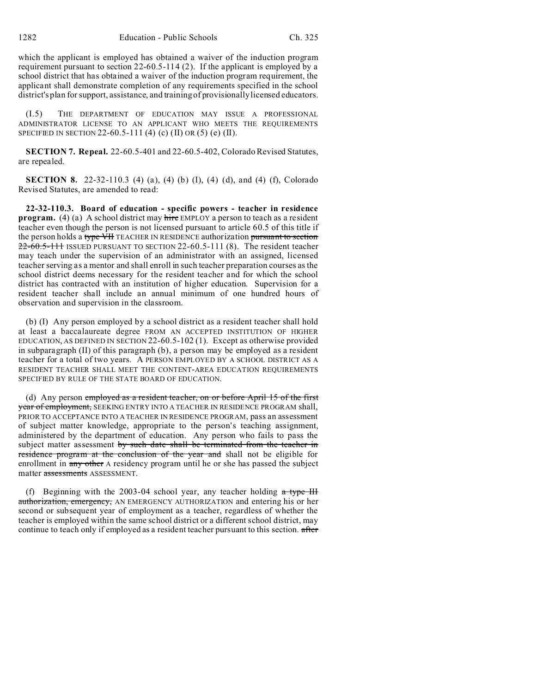which the applicant is employed has obtained a waiver of the induction program requirement pursuant to section 22-60.5-114 (2). If the applicant is employed by a school district that has obtained a waiver of the induction program requirement, the applicant shall demonstrate completion of any requirements specified in the school district's plan for support, assistance, and training of provisionally licensed educators.

(I.5) THE DEPARTMENT OF EDUCATION MAY ISSUE A PROFESSIONAL ADMINISTRATOR LICENSE TO AN APPLICANT WHO MEETS THE REQUIREMENTS SPECIFIED IN SECTION 22-60.5-111 (4) (c) (II) OR (5) (e) (II).

**SECTION 7. Repeal.** 22-60.5-401 and 22-60.5-402, Colorado Revised Statutes, are repealed.

**SECTION 8.** 22-32-110.3 (4) (a), (4) (b) (I), (4) (d), and (4) (f), Colorado Revised Statutes, are amended to read:

**22-32-110.3. Board of education - specific powers - teacher in residence program.** (4) (a) A school district may hire EMPLOY a person to teach as a resident teacher even though the person is not licensed pursuant to article 60.5 of this title if the person holds a type VH TEACHER IN RESIDENCE authorization pursuant to section  $22-60.5-111$  ISSUED PURSUANT TO SECTION 22-60.5-111 (8). The resident teacher may teach under the supervision of an administrator with an assigned, licensed teacher serving as a mentor and shall enroll in such teacher preparation courses as the school district deems necessary for the resident teacher and for which the school district has contracted with an institution of higher education. Supervision for a resident teacher shall include an annual minimum of one hundred hours of observation and supervision in the classroom.

(b) (I) Any person employed by a school district as a resident teacher shall hold at least a baccalaureate degree FROM AN ACCEPTED INSTITUTION OF HIGHER EDUCATION, AS DEFINED IN SECTION 22-60.5-102 (1). Except as otherwise provided in subparagraph (II) of this paragraph (b), a person may be employed as a resident teacher for a total of two years. A PERSON EMPLOYED BY A SCHOOL DISTRICT AS A RESIDENT TEACHER SHALL MEET THE CONTENT-AREA EDUCATION REQUIREMENTS SPECIFIED BY RULE OF THE STATE BOARD OF EDUCATION.

(d) Any person employed as a resident teacher, on or before April 15 of the first year of employment, SEEKING ENTRY INTO A TEACHER IN RESIDENCE PROGRAM shall, PRIOR TO ACCEPTANCE INTO A TEACHER IN RESIDENCE PROGRAM, pass an assessment of subject matter knowledge, appropriate to the person's teaching assignment, administered by the department of education. Any person who fails to pass the subject matter assessment by such date shall be terminated from the teacher in residence program at the conclusion of the year and shall not be eligible for enrollment in any other A residency program until he or she has passed the subject matter assessments ASSESSMENT.

(f) Beginning with the 2003-04 school year, any teacher holding  $\alpha$  type III authorization, emergency, AN EMERGENCY AUTHORIZATION and entering his or her second or subsequent year of employment as a teacher, regardless of whether the teacher is employed within the same school district or a different school district, may continue to teach only if employed as a resident teacher pursuant to this section. after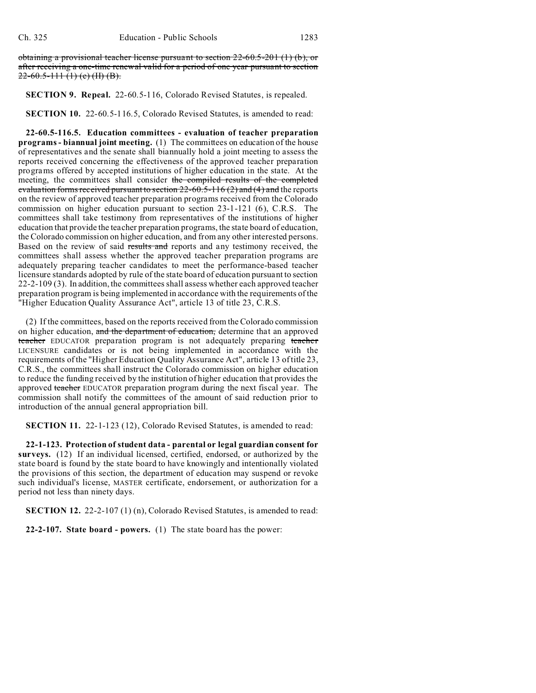obtaining a provisional teacher license pursuant to section 22-60.5-201 (1) (b), or after receiving a one-time renewal valid for a period of one year pursuant to section  $22-60.5-111(1)(c)$  (H) (B).

## **SECTION 9. Repeal.** 22-60.5-116, Colorado Revised Statutes, is repealed.

**SECTION 10.** 22-60.5-116.5, Colorado Revised Statutes, is amended to read:

**22-60.5-116.5. Education committees - evaluation of teacher preparation programs - biannual joint meeting.** (1) The committees on education of the house of representatives and the senate shall biannually hold a joint meeting to assess the reports received concerning the effectiveness of the approved teacher preparation programs offered by accepted institutions of higher education in the state. At the meeting, the committees shall consider the compiled results of the completed evaluation forms received pursuant to section  $22-60.5-116(2)$  and  $(4)$  and the reports on the review of approved teacher preparation programs received from the Colorado commission on higher education pursuant to section 23-1-121 (6), C.R.S. The committees shall take testimony from representatives of the institutions of higher education that provide the teacher preparation programs, the state board of education, the Colorado commission on higher education, and from any other interested persons. Based on the review of said results and reports and any testimony received, the committees shall assess whether the approved teacher preparation programs are adequately preparing teacher candidates to meet the performance-based teacher licensure standards adopted by rule of the state board of education pursuant to section 22-2-109 (3). In addition, the committees shall assess whether each approved teacher preparation program is being implemented in accordance with the requirements of the "Higher Education Quality Assurance Act", article 13 of title 23, C.R.S.

(2) If the committees, based on the reports received from the Colorado commission on higher education, and the department of education, determine that an approved teacher EDUCATOR preparation program is not adequately preparing teacher LICENSURE candidates or is not being implemented in accordance with the requirements of the "Higher Education Quality Assurance Act", article 13 of title 23, C.R.S., the committees shall instruct the Colorado commission on higher education to reduce the funding received by the institution of higher education that provides the approved teacher EDUCATOR preparation program during the next fiscal year. The commission shall notify the committees of the amount of said reduction prior to introduction of the annual general appropriation bill.

**SECTION 11.** 22-1-123 (12), Colorado Revised Statutes, is amended to read:

**22-1-123. Protection of student data - parental or legal guardian consent for surveys.** (12) If an individual licensed, certified, endorsed, or authorized by the state board is found by the state board to have knowingly and intentionally violated the provisions of this section, the department of education may suspend or revoke such individual's license, MASTER certificate, endorsement, or authorization for a period not less than ninety days.

**SECTION 12.** 22-2-107 (1) (n), Colorado Revised Statutes, is amended to read:

**22-2-107. State board - powers.** (1) The state board has the power: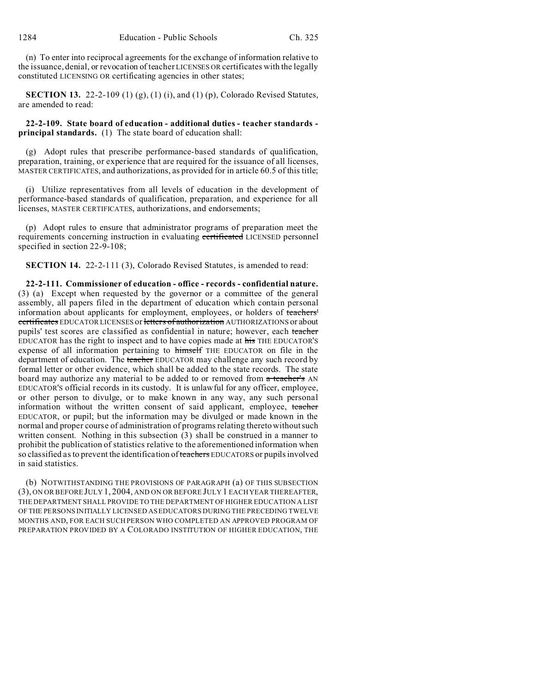(n) To enter into reciprocal agreements for the exchange of information relative to the issuance, denial, or revocation of teacher LICENSES OR certificates with the legally constituted LICENSING OR certificating agencies in other states;

**SECTION 13.** 22-2-109 (1) (g), (1) (i), and (1) (p), Colorado Revised Statutes, are amended to read:

**22-2-109. State board of education - additional duties - teacher standards principal standards.** (1) The state board of education shall:

(g) Adopt rules that prescribe performance-based standards of qualification, preparation, training, or experience that are required for the issuance of all licenses, MASTER CERTIFICATES, and authorizations, as provided for in article 60.5 of this title;

(i) Utilize representatives from all levels of education in the development of performance-based standards of qualification, preparation, and experience for all licenses, MASTER CERTIFICATES, authorizations, and endorsements;

(p) Adopt rules to ensure that administrator programs of preparation meet the requirements concerning instruction in evaluating certificated LICENSED personnel specified in section 22-9-108;

**SECTION 14.** 22-2-111 (3), Colorado Revised Statutes, is amended to read:

**22-2-111. Commissioner of education - office - records - confidential nature.** (3) (a) Except when requested by the governor or a committee of the general assembly, all papers filed in the department of education which contain personal information about applicants for employment, employees, or holders of teachers' certificates EDUCATOR LICENSES or letters of authorization AUTHORIZATIONS or about pupils' test scores are classified as confidential in nature; however, each teacher EDUCATOR has the right to inspect and to have copies made at his THE EDUCATOR'S expense of all information pertaining to himself THE EDUCATOR on file in the department of education. The teacher EDUCATOR may challenge any such record by formal letter or other evidence, which shall be added to the state records. The state board may authorize any material to be added to or removed from  $\alpha$  teacher's AN EDUCATOR'S official records in its custody. It is unlawful for any officer, employee, or other person to divulge, or to make known in any way, any such personal information without the written consent of said applicant, employee, teacher EDUCATOR, or pupil; but the information may be divulged or made known in the normal and proper course of administration of programs relating thereto without such written consent. Nothing in this subsection (3) shall be construed in a manner to prohibit the publication of statistics relative to the aforementioned information when so classified as to prevent the identification of teachers EDUCATORS or pupils involved in said statistics.

(b) NOTWITHSTANDING THE PROVISIONS OF PARAGRAPH (a) OF THIS SUBSECTION (3), ON OR BEFORE JULY 1, 2004, AND ON OR BEFORE JULY 1 EACH YEAR THEREAFTER, THE DEPARTMENT SHALL PROVIDE TO THE DEPARTMENT OF HIGHER EDUCATION A LIST OF THE PERSONS INITIALLY LICENSED AS EDUCATORS DURING THE PRECEDING TWELVE MONTHS AND, FOR EACH SUCH PERSON WHO COMPLETED AN APPROVED PROGRAM OF PREPARATION PROVIDED BY A COLORADO INSTITUTION OF HIGHER EDUCATION, THE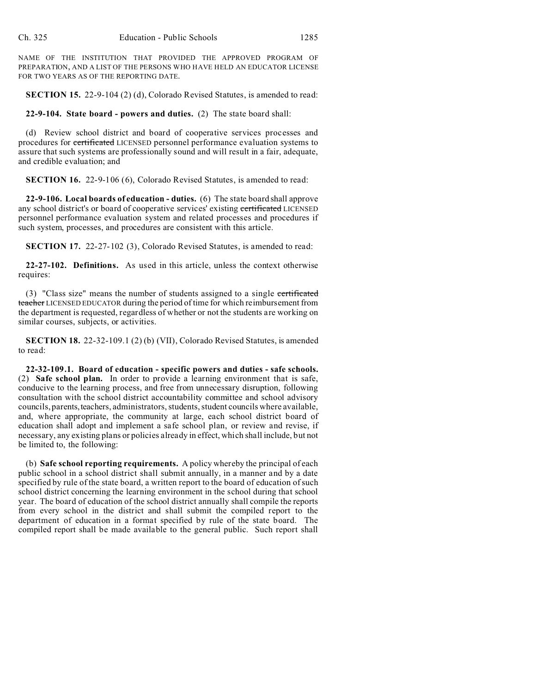NAME OF THE INSTITUTION THAT PROVIDED THE APPROVED PROGRAM OF PREPARATION, AND A LIST OF THE PERSONS WHO HAVE HELD AN EDUCATOR LICENSE FOR TWO YEARS AS OF THE REPORTING DATE.

**SECTION 15.** 22-9-104 (2) (d), Colorado Revised Statutes, is amended to read:

## **22-9-104. State board - powers and duties.** (2) The state board shall:

(d) Review school district and board of cooperative services processes and procedures for certificated LICENSED personnel performance evaluation systems to assure that such systems are professionally sound and will result in a fair, adequate, and credible evaluation; and

**SECTION 16.** 22-9-106 (6), Colorado Revised Statutes, is amended to read:

**22-9-106. Local boards of education - duties.** (6) The state board shall approve any school district's or board of cooperative services' existing certificated LICENSED personnel performance evaluation system and related processes and procedures if such system, processes, and procedures are consistent with this article.

**SECTION 17.** 22-27-102 (3), Colorado Revised Statutes, is amended to read:

**22-27-102. Definitions.** As used in this article, unless the context otherwise requires:

(3) "Class size" means the number of students assigned to a single certificated teacher LICENSED EDUCATOR during the period of time for which reimbursement from the department is requested, regardless of whether or not the students are working on similar courses, subjects, or activities.

**SECTION 18.** 22-32-109.1 (2) (b) (VII), Colorado Revised Statutes, is amended to read:

**22-32-109.1. Board of education - specific powers and duties - safe schools.** (2) **Safe school plan.** In order to provide a learning environment that is safe, conducive to the learning process, and free from unnecessary disruption, following consultation with the school district accountability committee and school advisory councils, parents,teachers, administrators, students, student councils where available, and, where appropriate, the community at large, each school district board of education shall adopt and implement a safe school plan, or review and revise, if necessary, any existing plans or policies already in effect, which shall include, but not be limited to, the following:

(b) **Safe school reporting requirements.** A policy whereby the principal of each public school in a school district shall submit annually, in a manner and by a date specified by rule of the state board, a written report to the board of education of such school district concerning the learning environment in the school during that school year. The board of education of the school district annually shall compile the reports from every school in the district and shall submit the compiled report to the department of education in a format specified by rule of the state board. The compiled report shall be made available to the general public. Such report shall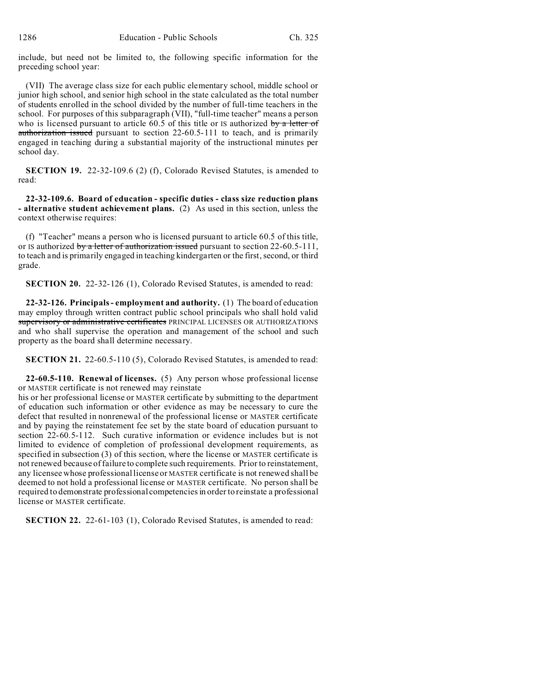include, but need not be limited to, the following specific information for the preceding school year:

(VII) The average class size for each public elementary school, middle school or junior high school, and senior high school in the state calculated as the total number of students enrolled in the school divided by the number of full-time teachers in the school. For purposes of this subparagraph (VII), "full-time teacher" means a person who is licensed pursuant to article  $60.5$  of this title or IS authorized by a letter of authorization issued pursuant to section 22-60.5-111 to teach, and is primarily engaged in teaching during a substantial majority of the instructional minutes per school day.

**SECTION 19.** 22-32-109.6 (2) (f), Colorado Revised Statutes, is amended to read:

**22-32-109.6. Board of education - specific duties - class size reduction plans - alternative student achievement plans.** (2) As used in this section, unless the context otherwise requires:

(f) "Teacher" means a person who is licensed pursuant to article 60.5 of this title, or IS authorized by a letter of authorization issued pursuant to section  $22-60.5-111$ , to teach and is primarily engaged in teaching kindergarten or the first, second, or third grade.

**SECTION 20.** 22-32-126 (1), Colorado Revised Statutes, is amended to read:

**22-32-126. Principals - employment and authority.** (1) The board of education may employ through written contract public school principals who shall hold valid supervisory or administrative certificates PRINCIPAL LICENSES OR AUTHORIZATIONS and who shall supervise the operation and management of the school and such property as the board shall determine necessary.

**SECTION 21.** 22-60.5-110 (5), Colorado Revised Statutes, is amended to read:

**22-60.5-110. Renewal of licenses.** (5) Any person whose professional license or MASTER certificate is not renewed may reinstate

his or her professional license or MASTER certificate by submitting to the department of education such information or other evidence as may be necessary to cure the defect that resulted in nonrenewal of the professional license or MASTER certificate and by paying the reinstatement fee set by the state board of education pursuant to section 22-60.5-112. Such curative information or evidence includes but is not limited to evidence of completion of professional development requirements, as specified in subsection (3) of this section, where the license or MASTER certificate is not renewed because of failure to complete such requirements. Prior to reinstatement, any licensee whose professional license or MASTER certificate is not renewed shall be deemed to not hold a professional license or MASTER certificate. No person shall be required to demonstrate professional competencies in order to reinstate a professional license or MASTER certificate.

**SECTION 22.** 22-61-103 (1), Colorado Revised Statutes, is amended to read: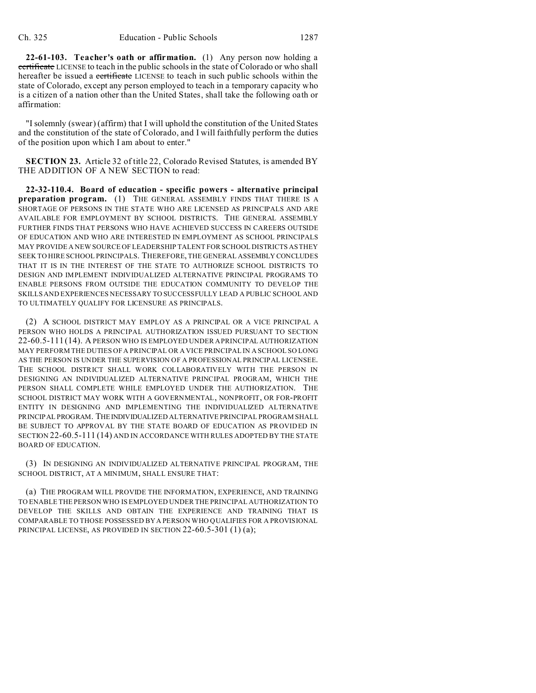**22-61-103. Teacher's oath or affirmation.** (1) Any person now holding a certificate LICENSE to teach in the public schools in the state of Colorado or who shall hereafter be issued a **certificate** LICENSE to teach in such public schools within the state of Colorado, except any person employed to teach in a temporary capacity who is a citizen of a nation other than the United States, shall take the following oath or affirmation:

"I solemnly (swear) (affirm) that I will uphold the constitution of the United States and the constitution of the state of Colorado, and I will faithfully perform the duties of the position upon which I am about to enter."

**SECTION 23.** Article 32 of title 22, Colorado Revised Statutes, is amended BY THE ADDITION OF A NEW SECTION to read:

**22-32-110.4. Board of education - specific powers - alternative principal preparation program.** (1) THE GENERAL ASSEMBLY FINDS THAT THERE IS A SHORTAGE OF PERSONS IN THE STATE WHO ARE LICENSED AS PRINCIPALS AND ARE AVAILABLE FOR EMPLOYMENT BY SCHOOL DISTRICTS. THE GENERAL ASSEMBLY FURTHER FINDS THAT PERSONS WHO HAVE ACHIEVED SUCCESS IN CAREERS OUTSIDE OF EDUCATION AND WHO ARE INTERESTED IN EMPLOYMENT AS SCHOOL PRINCIPALS MAY PROVIDE A NEW SOURCE OF LEADERSHIP TALENT FOR SCHOOL DISTRICTS AS THEY SEEK TO HIRE SCHOOL PRINCIPALS. THEREFORE, THE GENERAL ASSEMBLY CONCLUDES THAT IT IS IN THE INTEREST OF THE STATE TO AUTHORIZE SCHOOL DISTRICTS TO DESIGN AND IMPLEMENT INDIVIDUALIZED ALTERNATIVE PRINCIPAL PROGRAMS TO ENABLE PERSONS FROM OUTSIDE THE EDUCATION COMMUNITY TO DEVELOP THE SKILLS AND EXPERIENCES NECESSARY TO SUCCESSFULLY LEAD A PUBLIC SCHOOL AND TO ULTIMATELY QUALIFY FOR LICENSURE AS PRINCIPALS.

(2) A SCHOOL DISTRICT MAY EMPLOY AS A PRINCIPAL OR A VICE PRINCIPAL A PERSON WHO HOLDS A PRINCIPAL AUTHORIZATION ISSUED PURSUANT TO SECTION 22-60.5-111 (14). A PERSON WHO IS EMPLOYED UNDER A PRINCIPAL AUTHORIZATION MAY PERFORM THE DUTIES OF A PRINCIPAL OR A VICE PRINCIPAL IN A SCHOOL SO LONG AS THE PERSON IS UNDER THE SUPERVISION OF A PROFESSIONAL PRINCIPAL LICENSEE. THE SCHOOL DISTRICT SHALL WORK COLLABORATIVELY WITH THE PERSON IN DESIGNING AN INDIVIDUALIZED ALTERNATIVE PRINCIPAL PROGRAM, WHICH THE PERSON SHALL COMPLETE WHILE EMPLOYED UNDER THE AUTHORIZATION. THE SCHOOL DISTRICT MAY WORK WITH A GOVERNMENTAL, NONPROFIT, OR FOR-PROFIT ENTITY IN DESIGNING AND IMPLEMENTING THE INDIVIDUALIZED ALTERNATIVE PRINCIPAL PROGRAM. THEINDIVIDUALIZED ALTERNATIVE PRINCIPAL PROGRAM SHALL BE SUBJECT TO APPROVAL BY THE STATE BOARD OF EDUCATION AS PROVIDED IN SECTION 22-60.5-111 (14) AND IN ACCORDANCE WITH RULES ADOPTED BY THE STATE BOARD OF EDUCATION.

(3) IN DESIGNING AN INDIVIDUALIZED ALTERNATIVE PRINCIPAL PROGRAM, THE SCHOOL DISTRICT, AT A MINIMUM, SHALL ENSURE THAT:

(a) THE PROGRAM WILL PROVIDE THE INFORMATION, EXPERIENCE, AND TRAINING TO ENABLE THE PERSON WHO IS EMPLOYED UNDER THE PRINCIPAL AUTHORIZATION TO DEVELOP THE SKILLS AND OBTAIN THE EXPERIENCE AND TRAINING THAT IS COMPARABLE TO THOSE POSSESSED BY A PERSON WHO QUALIFIES FOR A PROVISIONAL PRINCIPAL LICENSE, AS PROVIDED IN SECTION 22-60.5-301 (1) (a);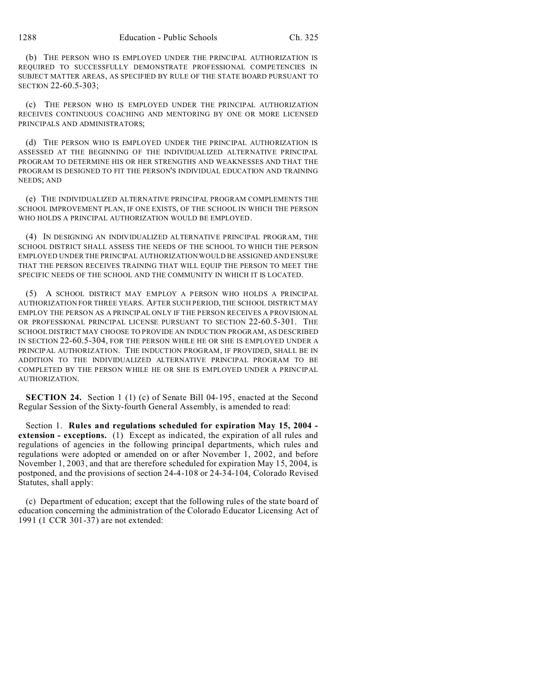(b) THE PERSON WHO IS EMPLOYED UNDER THE PRINCIPAL AUTHORIZATION IS REQUIRED TO SUCCESSFULLY DEMONSTRATE PROFESSIONAL COMPETENCIES IN SUBJECT MATTER AREAS, AS SPECIFIED BY RULE OF THE STATE BOARD PURSUANT TO SECTION 22-60.5-303;

(c) THE PERSON WHO IS EMPLOYED UNDER THE PRINCIPAL AUTHORIZATION RECEIVES CONTINUOUS COACHING AND MENTORING BY ONE OR MORE LICENSED PRINCIPALS AND ADMINISTRATORS;

(d) THE PERSON WHO IS EMPLOYED UNDER THE PRINCIPAL AUTHORIZATION IS ASSESSED AT THE BEGINNING OF THE INDIVIDUALIZED ALTERNATIVE PRINCIPAL PROGRAM TO DETERMINE HIS OR HER STRENGTHS AND WEAKNESSES AND THAT THE PROGRAM IS DESIGNED TO FIT THE PERSON'S INDIVIDUAL EDUCATION AND TRAINING NEEDS; AND

(e) THE INDIVIDUALIZED ALTERNATIVE PRINCIPAL PROGRAM COMPLEMENTS THE SCHOOL IMPROVEMENT PLAN, IF ONE EXISTS, OF THE SCHOOL IN WHICH THE PERSON WHO HOLDS A PRINCIPAL AUTHORIZATION WOULD BE EMPLOYED.

(4) IN DESIGNING AN INDIVIDUALIZED ALTERNATIVE PRINCIPAL PROGRAM, THE SCHOOL DISTRICT SHALL ASSESS THE NEEDS OF THE SCHOOL TO WHICH THE PERSON EMPLOYED UNDER THE PRINCIPAL AUTHORIZATION WOULD BE ASSIGNED AND ENSURE THAT THE PERSON RECEIVES TRAINING THAT WILL EQUIP THE PERSON TO MEET THE SPECIFIC NEEDS OF THE SCHOOL AND THE COMMUNITY IN WHICH IT IS LOCATED.

(5) A SCHOOL DISTRICT MAY EMPLOY A PERSON WHO HOLDS A PRINCIPAL AUTHORIZATION FOR THREE YEARS. AFTER SUCH PERIOD, THE SCHOOL DISTRICT MAY EMPLOY THE PERSON AS A PRINCIPAL ONLY IF THE PERSON RECEIVES A PROVISIONAL OR PROFESSIONAL PRINCIPAL LICENSE PURSUANT TO SECTION 22-60.5-301. THE SCHOOL DISTRICT MAY CHOOSE TO PROVIDE AN INDUCTION PROGRAM, AS DESCRIBED IN SECTION 22-60.5-304, FOR THE PERSON WHILE HE OR SHE IS EMPLOYED UNDER A PRINCIPAL AUTHORIZATION. THE INDUCTION PROGRAM, IF PROVIDED, SHALL BE IN ADDITION TO THE INDIVIDUALIZED ALTERNATIVE PRINCIPAL PROGRAM TO BE COMPLETED BY THE PERSON WHILE HE OR SHE IS EMPLOYED UNDER A PRINCIPAL AUTHORIZATION.

**SECTION 24.** Section 1 (1) (c) of Senate Bill 04-195, enacted at the Second Regular Session of the Sixty-fourth General Assembly, is amended to read:

Section 1. **Rules and regulations scheduled for expiration May 15, 2004 extension - exceptions.** (1) Except as indicated, the expiration of all rules and regulations of agencies in the following principal departments, which rules and regulations were adopted or amended on or after November 1, 2002, and before November 1, 2003, and that are therefore scheduled for expiration May 15, 2004, is postponed, and the provisions of section 24-4-108 or 24-34-104, Colorado Revised Statutes, shall apply:

(c) Department of education; except that the following rules of the state board of education concerning the administration of the Colorado Educator Licensing Act of 1991 (1 CCR 301-37) are not extended: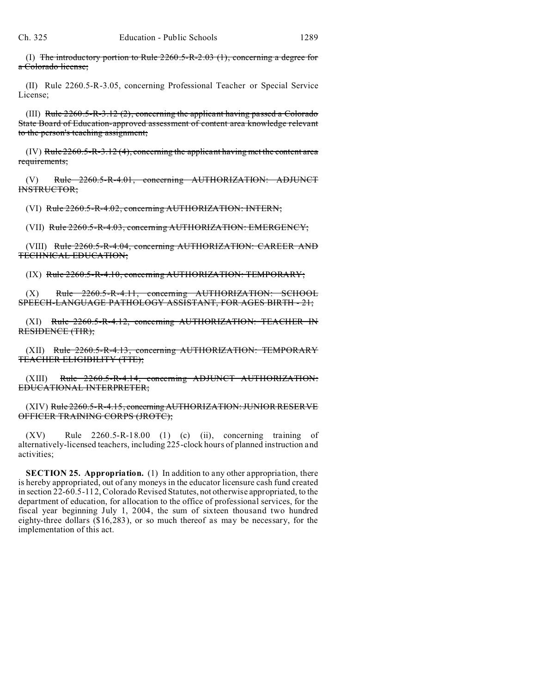(I) The introductory portion to Rule  $2260.5 - R-2.03$  (1), concerning a degree for a Colorado license;

(II) Rule 2260.5-R-3.05, concerning Professional Teacher or Special Service License;

(III) Rule  $2260.5-R-3.12(2)$ , concerning the applicant having passed a Colorado State Board of Education-approved assessment of content area knowledge relevant to the person's teaching assignment;

 $(IV)$  Rule 2260.5-R-3.12 (4), concerning the applicant having met the content area requirements;

(V) Rule 2260.5-R-4.01, concerning AUTHORIZATION: ADJUNCT INSTRUCTOR;

(VI) Rule 2260.5-R-4.02, concerning AUTHORIZATION: INTERN;

(VII) Rule 2260.5-R-4.03, concerning AUTHORIZATION: EMERGENCY;

(VIII) Rule 2260.5-R-4.04, concerning AUTHORIZATION: CAREER AND TECHNICAL EDUCATION;

(IX) Rule 2260.5-R-4.10, concerning AUTHORIZATION: TEMPORARY;

 $(X)$  Rule  $2260.5-R-4.11$ , concerning AUTHORIZATION: SCHOOL SPEECH-LANGUAGE PATHOLOGY ASSISTANT, FOR AGES BIRTH - 21;

(XI) Rule 2260.5-R-4.12, concerning AUTHORIZATION: TEACHER IN RESIDENCE (TIR);

(XII) Rule 2260.5-R-4.13, concerning AUTHORIZATION: TEMPORARY TEACHER ELIGIBILITY (TTE);

(XIII) Rule 2260.5-R-4.14, concerning ADJUNCT AUTHORIZATION: EDUCATIONAL INTERPRETER;

(XIV) Rule 2260.5-R-4.15, concerning AUTHORIZATION: JUNIOR RESERVE OFFICER TRAINING CORPS (JROTC);

(XV) Rule 2260.5-R-18.00 (1) (c) (ii), concerning training of alternatively-licensed teachers, including 225-clock hours of planned instruction and activities;

**SECTION 25. Appropriation.** (1) In addition to any other appropriation, there is hereby appropriated, out of any moneys in the educator licensure cash fund created in section 22-60.5-112, Colorado Revised Statutes, not otherwise appropriated, to the department of education, for allocation to the office of professional services, for the fiscal year beginning July 1, 2004, the sum of sixteen thousand two hundred eighty-three dollars (\$16,283), or so much thereof as may be necessary, for the implementation of this act.